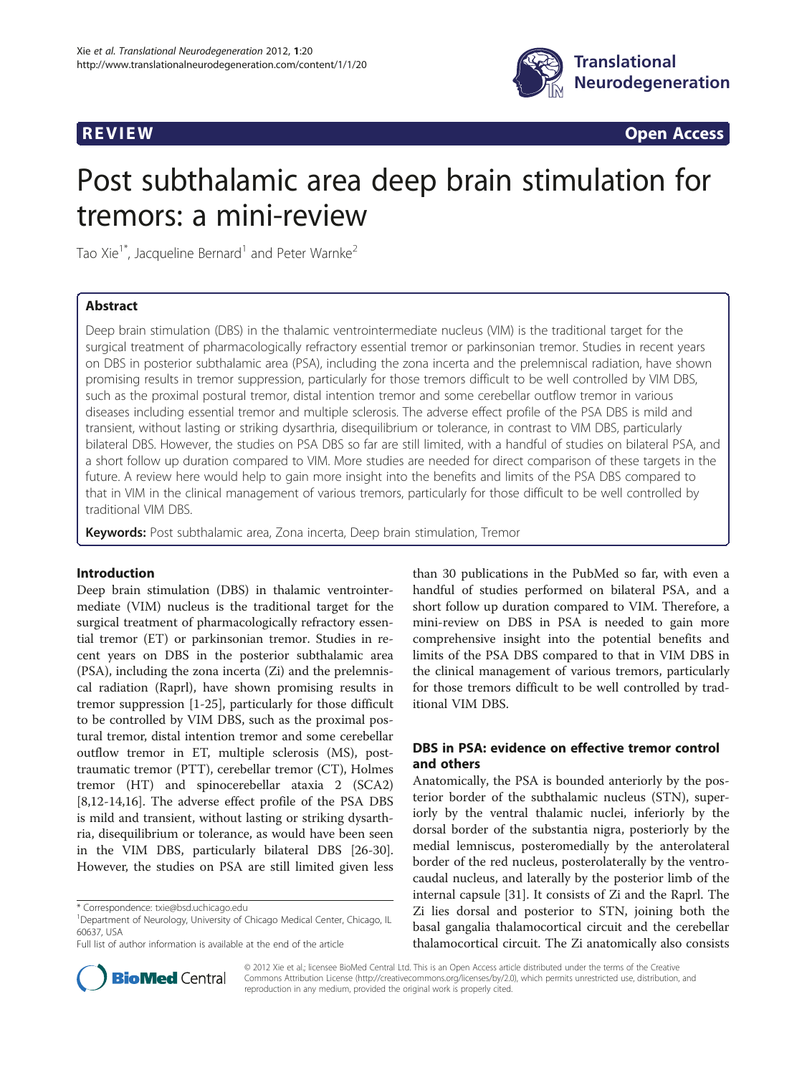

**REVIEW REVIEW CONSTRUCTER CONSTRUCTION** 

# Post subthalamic area deep brain stimulation for tremors: a mini-review

Tao Xie<sup>1\*</sup>, Jacqueline Bernard<sup>1</sup> and Peter Warnke<sup>2</sup>

# Abstract

Deep brain stimulation (DBS) in the thalamic ventrointermediate nucleus (VIM) is the traditional target for the surgical treatment of pharmacologically refractory essential tremor or parkinsonian tremor. Studies in recent years on DBS in posterior subthalamic area (PSA), including the zona incerta and the prelemniscal radiation, have shown promising results in tremor suppression, particularly for those tremors difficult to be well controlled by VIM DBS, such as the proximal postural tremor, distal intention tremor and some cerebellar outflow tremor in various diseases including essential tremor and multiple sclerosis. The adverse effect profile of the PSA DBS is mild and transient, without lasting or striking dysarthria, disequilibrium or tolerance, in contrast to VIM DBS, particularly bilateral DBS. However, the studies on PSA DBS so far are still limited, with a handful of studies on bilateral PSA, and a short follow up duration compared to VIM. More studies are needed for direct comparison of these targets in the future. A review here would help to gain more insight into the benefits and limits of the PSA DBS compared to that in VIM in the clinical management of various tremors, particularly for those difficult to be well controlled by traditional VIM DBS.

Keywords: Post subthalamic area, Zona incerta, Deep brain stimulation, Tremor

## Introduction

Deep brain stimulation (DBS) in thalamic ventrointermediate (VIM) nucleus is the traditional target for the surgical treatment of pharmacologically refractory essential tremor (ET) or parkinsonian tremor. Studies in recent years on DBS in the posterior subthalamic area (PSA), including the zona incerta (Zi) and the prelemniscal radiation (Raprl), have shown promising results in tremor suppression [[1-25](#page-6-0)], particularly for those difficult to be controlled by VIM DBS, such as the proximal postural tremor, distal intention tremor and some cerebellar outflow tremor in ET, multiple sclerosis (MS), posttraumatic tremor (PTT), cerebellar tremor (CT), Holmes tremor (HT) and spinocerebellar ataxia 2 (SCA2) [[8,12-14,16](#page-6-0)]. The adverse effect profile of the PSA DBS is mild and transient, without lasting or striking dysarthria, disequilibrium or tolerance, as would have been seen in the VIM DBS, particularly bilateral DBS [\[26-30](#page-6-0)]. However, the studies on PSA are still limited given less

than 30 publications in the PubMed so far, with even a handful of studies performed on bilateral PSA, and a short follow up duration compared to VIM. Therefore, a mini-review on DBS in PSA is needed to gain more comprehensive insight into the potential benefits and limits of the PSA DBS compared to that in VIM DBS in the clinical management of various tremors, particularly for those tremors difficult to be well controlled by traditional VIM DBS.

# DBS in PSA: evidence on effective tremor control and others

Anatomically, the PSA is bounded anteriorly by the posterior border of the subthalamic nucleus (STN), superiorly by the ventral thalamic nuclei, inferiorly by the dorsal border of the substantia nigra, posteriorly by the medial lemniscus, posteromedially by the anterolateral border of the red nucleus, posterolaterally by the ventrocaudal nucleus, and laterally by the posterior limb of the internal capsule [[31](#page-6-0)]. It consists of Zi and the Raprl. The Zi lies dorsal and posterior to STN, joining both the basal gangalia thalamocortical circuit and the cerebellar thalamocortical circuit. The Zi anatomically also consists



© 2012 Xie et al.; licensee BioMed Central Ltd. This is an Open Access article distributed under the terms of the Creative Commons Attribution License [\(http://creativecommons.org/licenses/by/2.0\)](http://creativecommons.org/licenses/by/2.0), which permits unrestricted use, distribution, and reproduction in any medium, provided the original work is properly cited.

<sup>\*</sup> Correspondence: [txie@bsd.uchicago.edu](mailto:txie@bsd.uchicago.edu) <sup>1</sup>

<sup>&</sup>lt;sup>1</sup>Department of Neurology, University of Chicago Medical Center, Chicago, IL 60637, USA

Full list of author information is available at the end of the article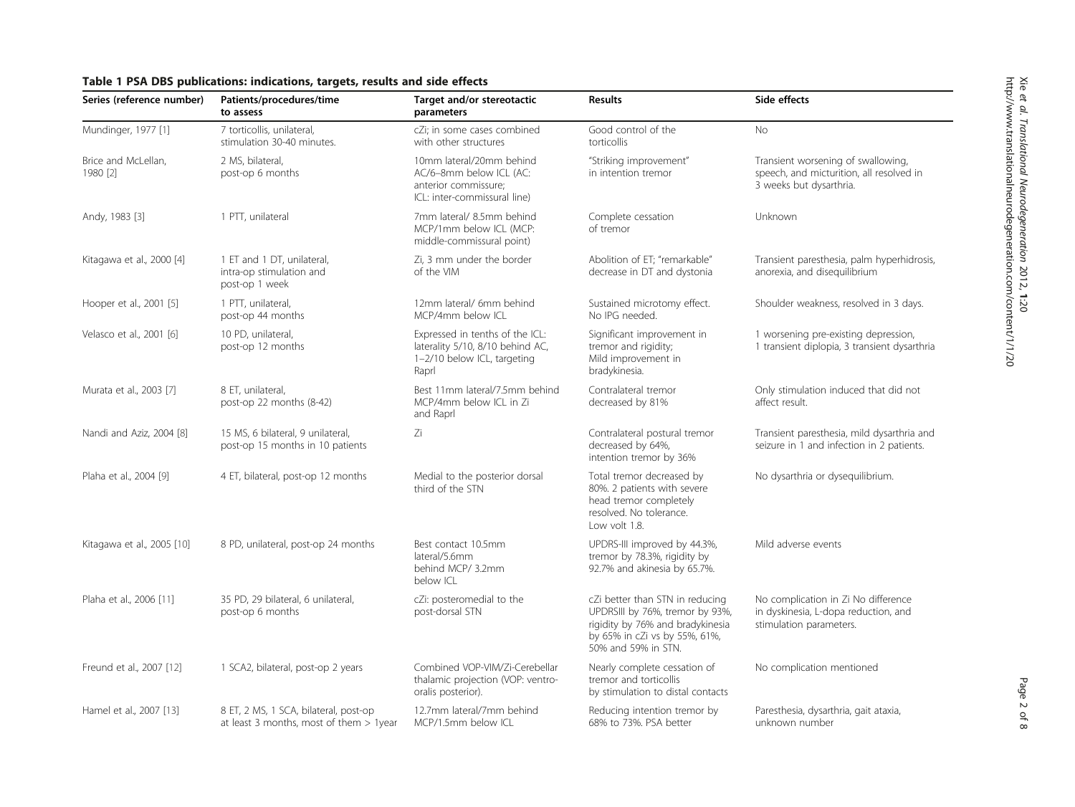# <span id="page-1-0"></span>Table 1 PSA DBS publications: indications, targets, results and side effects

| Series (reference number)       | Patients/procedures/time<br>to assess                                               | Target and/or stereotactic<br>parameters                                                                    | <b>Results</b>                                                                                                                                                 | Side effects                                                                                              |
|---------------------------------|-------------------------------------------------------------------------------------|-------------------------------------------------------------------------------------------------------------|----------------------------------------------------------------------------------------------------------------------------------------------------------------|-----------------------------------------------------------------------------------------------------------|
| Mundinger, 1977 [1]             | 7 torticollis, unilateral,<br>stimulation 30-40 minutes.                            | cZi; in some cases combined<br>with other structures                                                        | Good control of the<br>torticollis                                                                                                                             | <b>No</b>                                                                                                 |
| Brice and McLellan,<br>1980 [2] | 2 MS, bilateral,<br>post-op 6 months                                                | 10mm lateral/20mm behind<br>AC/6-8mm below ICL (AC:<br>anterior commissure;<br>ICL: inter-commissural line) | "Striking improvement"<br>in intention tremor                                                                                                                  | Transient worsening of swallowing,<br>speech, and micturition, all resolved in<br>3 weeks but dysarthria. |
| Andy, 1983 [3]                  | 1 PTT, unilateral                                                                   | 7mm lateral/ 8.5mm behind<br>MCP/1mm below ICL (MCP:<br>middle-commissural point)                           | Complete cessation<br>of tremor                                                                                                                                | Unknown                                                                                                   |
| Kitagawa et al., 2000 [4]       | 1 ET and 1 DT, unilateral,<br>intra-op stimulation and<br>post-op 1 week            | Zi, 3 mm under the border<br>of the VIM                                                                     | Abolition of ET; "remarkable"<br>decrease in DT and dystonia                                                                                                   | Transient paresthesia, palm hyperhidrosis,<br>anorexia, and disequilibrium                                |
| Hooper et al., 2001 [5]         | 1 PTT, unilateral,<br>post-op 44 months                                             | 12mm lateral/ 6mm behind<br>MCP/4mm below ICL                                                               | Sustained microtomy effect.<br>No IPG needed.                                                                                                                  | Shoulder weakness, resolved in 3 days.                                                                    |
| Velasco et al., 2001 [6]        | 10 PD, unilateral,<br>post-op 12 months                                             | Expressed in tenths of the ICL:<br>laterality 5/10, 8/10 behind AC,<br>1-2/10 below ICL, targeting<br>Raprl | Significant improvement in<br>tremor and rigidity;<br>Mild improvement in<br>bradykinesia.                                                                     | 1 worsening pre-existing depression,<br>1 transient diplopia, 3 transient dysarthria                      |
| Murata et al., 2003 [7]         | 8 ET, unilateral,<br>post-op 22 months (8-42)                                       | Best 11mm lateral/7.5mm behind<br>MCP/4mm below ICL in Zi<br>and Raprl                                      | Contralateral tremor<br>decreased by 81%                                                                                                                       | Only stimulation induced that did not<br>affect result.                                                   |
| Nandi and Aziz, 2004 [8]        | 15 MS, 6 bilateral, 9 unilateral,<br>post-op 15 months in 10 patients               | Ζi                                                                                                          | Contralateral postural tremor<br>decreased by 64%,<br>intention tremor by 36%                                                                                  | Transient paresthesia, mild dysarthria and<br>seizure in 1 and infection in 2 patients.                   |
| Plaha et al., 2004 [9]          | 4 ET, bilateral, post-op 12 months                                                  | Medial to the posterior dorsal<br>third of the STN                                                          | Total tremor decreased by<br>80%. 2 patients with severe<br>head tremor completely<br>resolved. No tolerance.<br>Low volt 1.8.                                 | No dysarthria or dysequilibrium.                                                                          |
| Kitagawa et al., 2005 [10]      | 8 PD, unilateral, post-op 24 months                                                 | Best contact 10.5mm<br>lateral/5.6mm<br>behind MCP/ 3.2mm<br>below ICL                                      | UPDRS-III improved by 44.3%,<br>tremor by 78.3%, rigidity by<br>92.7% and akinesia by 65.7%.                                                                   | Mild adverse events                                                                                       |
| Plaha et al., 2006 [11]         | 35 PD, 29 bilateral, 6 unilateral,<br>post-op 6 months                              | cZi: posteromedial to the<br>post-dorsal STN                                                                | cZi better than STN in reducing<br>UPDRSIII by 76%, tremor by 93%,<br>rigidity by 76% and bradykinesia<br>by 65% in cZi vs by 55%, 61%,<br>50% and 59% in STN. | No complication in Zi No difference<br>in dyskinesia, L-dopa reduction, and<br>stimulation parameters.    |
| Freund et al., 2007 [12]        | 1 SCA2, bilateral, post-op 2 years                                                  | Combined VOP-VIM/Zi-Cerebellar<br>thalamic projection (VOP: ventro-<br>oralis posterior).                   | Nearly complete cessation of<br>tremor and torticollis<br>by stimulation to distal contacts                                                                    | No complication mentioned                                                                                 |
| Hamel et al., 2007 [13]         | 8 ET, 2 MS, 1 SCA, bilateral, post-op<br>at least 3 months, most of them $> 1$ year | 12.7mm lateral/7mm behind<br>MCP/1.5mm below ICL                                                            | Reducing intention tremor by<br>68% to 73%. PSA better                                                                                                         | Paresthesia, dysarthria, gait ataxia,<br>unknown number                                                   |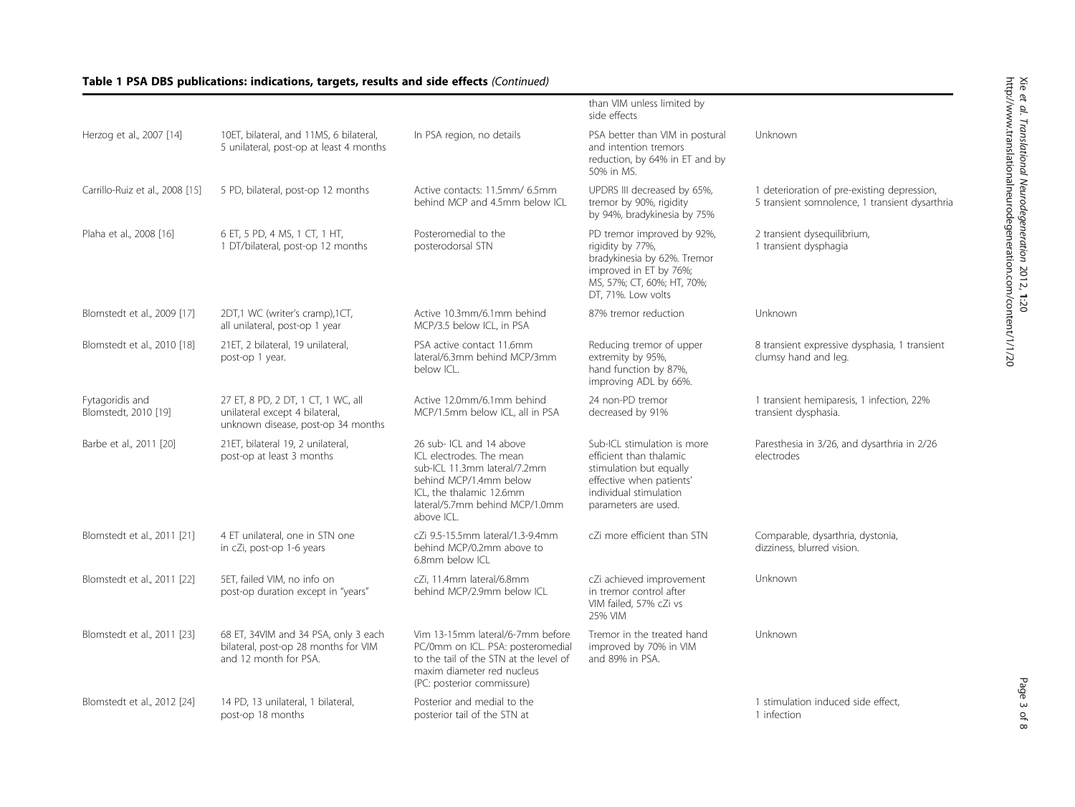| Xie et al. Translational Neurodegeneration 2012, 1:20<br>ר ווירוז<br>www.translationalneurodegeneration.com/content/1/1/20 |  |
|----------------------------------------------------------------------------------------------------------------------------|--|
|----------------------------------------------------------------------------------------------------------------------------|--|

# Table 1 PSA DBS publications: indications, targets, results and side effects (Continued)

|                                         |                                                                                                            |                                                                                                                                                                                            | than VIM unless limited by<br>side effects                                                                                                                      |                                                                                               |
|-----------------------------------------|------------------------------------------------------------------------------------------------------------|--------------------------------------------------------------------------------------------------------------------------------------------------------------------------------------------|-----------------------------------------------------------------------------------------------------------------------------------------------------------------|-----------------------------------------------------------------------------------------------|
| Herzog et al., 2007 [14]                | 10ET, bilateral, and 11MS, 6 bilateral,<br>5 unilateral, post-op at least 4 months                         | In PSA region, no details                                                                                                                                                                  | PSA better than VIM in postural<br>and intention tremors<br>reduction, by 64% in ET and by<br>50% in MS.                                                        | Unknown                                                                                       |
| Carrillo-Ruiz et al., 2008 [15]         | 5 PD, bilateral, post-op 12 months                                                                         | Active contacts: 11.5mm/ 6.5mm<br>behind MCP and 4.5mm below ICL                                                                                                                           | UPDRS III decreased by 65%,<br>tremor by 90%, rigidity<br>by 94%, bradykinesia by 75%                                                                           | 1 deterioration of pre-existing depression,<br>5 transient somnolence, 1 transient dysarthria |
| Plaha et al., 2008 [16]                 | 6 ET, 5 PD, 4 MS, 1 CT, 1 HT,<br>1 DT/bilateral, post-op 12 months                                         | Posteromedial to the<br>posterodorsal STN                                                                                                                                                  | PD tremor improved by 92%,<br>rigidity by 77%,<br>bradykinesia by 62%. Tremor<br>improved in ET by 76%;<br>MS, 57%; CT, 60%; HT, 70%;<br>DT, 71%. Low volts     | 2 transient dysequilibrium,<br>1 transient dysphagia                                          |
| Blomstedt et al., 2009 [17]             | 2DT,1 WC (writer's cramp),1CT,<br>all unilateral, post-op 1 year                                           | Active 10.3mm/6.1mm behind<br>MCP/3.5 below ICL, in PSA                                                                                                                                    | 87% tremor reduction                                                                                                                                            | Unknown                                                                                       |
| Blomstedt et al., 2010 [18]             | 21ET, 2 bilateral, 19 unilateral,<br>post-op 1 year.                                                       | PSA active contact 11.6mm<br>lateral/6.3mm behind MCP/3mm<br>below ICL.                                                                                                                    | Reducing tremor of upper<br>extremity by 95%,<br>hand function by 87%,<br>improving ADL by 66%.                                                                 | 8 transient expressive dysphasia, 1 transient<br>clumsy hand and leg.                         |
| Fytagoridis and<br>Blomstedt, 2010 [19] | 27 ET, 8 PD, 2 DT, 1 CT, 1 WC, all<br>unilateral except 4 bilateral,<br>unknown disease, post-op 34 months | Active 12.0mm/6.1mm behind<br>MCP/1.5mm below ICL, all in PSA                                                                                                                              | 24 non-PD tremor<br>decreased by 91%                                                                                                                            | 1 transient hemiparesis, 1 infection, 22%<br>transient dysphasia.                             |
| Barbe et al., 2011 [20]                 | 21ET, bilateral 19, 2 unilateral,<br>post-op at least 3 months                                             | 26 sub- ICL and 14 above<br>ICL electrodes. The mean<br>sub-ICL 11.3mm lateral/7.2mm<br>behind MCP/1.4mm below<br>ICL, the thalamic 12.6mm<br>lateral/5.7mm behind MCP/1.0mm<br>above ICL. | Sub-ICL stimulation is more<br>efficient than thalamic<br>stimulation but equally<br>effective when patients'<br>individual stimulation<br>parameters are used. | Paresthesia in 3/26, and dysarthria in 2/26<br>electrodes                                     |
| Blomstedt et al., 2011 [21]             | 4 ET unilateral, one in STN one<br>in cZi, post-op 1-6 years                                               | cZi 9.5-15.5mm lateral/1.3-9.4mm<br>behind MCP/0.2mm above to<br>6.8mm below ICL                                                                                                           | cZi more efficient than STN                                                                                                                                     | Comparable, dysarthria, dystonia,<br>dizziness, blurred vision.                               |
| Blomstedt et al., 2011 [22]             | 5ET, failed VIM, no info on<br>post-op duration except in "years"                                          | cZi, 11.4mm lateral/6.8mm<br>behind MCP/2.9mm below ICL                                                                                                                                    | cZi achieved improvement<br>in tremor control after<br>VIM failed, 57% cZi vs<br>25% VIM                                                                        | Unknown                                                                                       |
| Blomstedt et al., 2011 [23]             | 68 ET, 34VIM and 34 PSA, only 3 each<br>bilateral, post-op 28 months for VIM<br>and 12 month for PSA.      | Vim 13-15mm lateral/6-7mm before<br>PC/0mm on ICL. PSA: posteromedial<br>to the tail of the STN at the level of<br>maxim diameter red nucleus<br>(PC: posterior commissure)                | Tremor in the treated hand<br>improved by 70% in VIM<br>and 89% in PSA.                                                                                         | Unknown                                                                                       |
| Blomstedt et al., 2012 [24]             | 14 PD, 13 unilateral, 1 bilateral,<br>post-op 18 months                                                    | Posterior and medial to the<br>posterior tail of the STN at                                                                                                                                |                                                                                                                                                                 | 1 stimulation induced side effect,<br>1 infection                                             |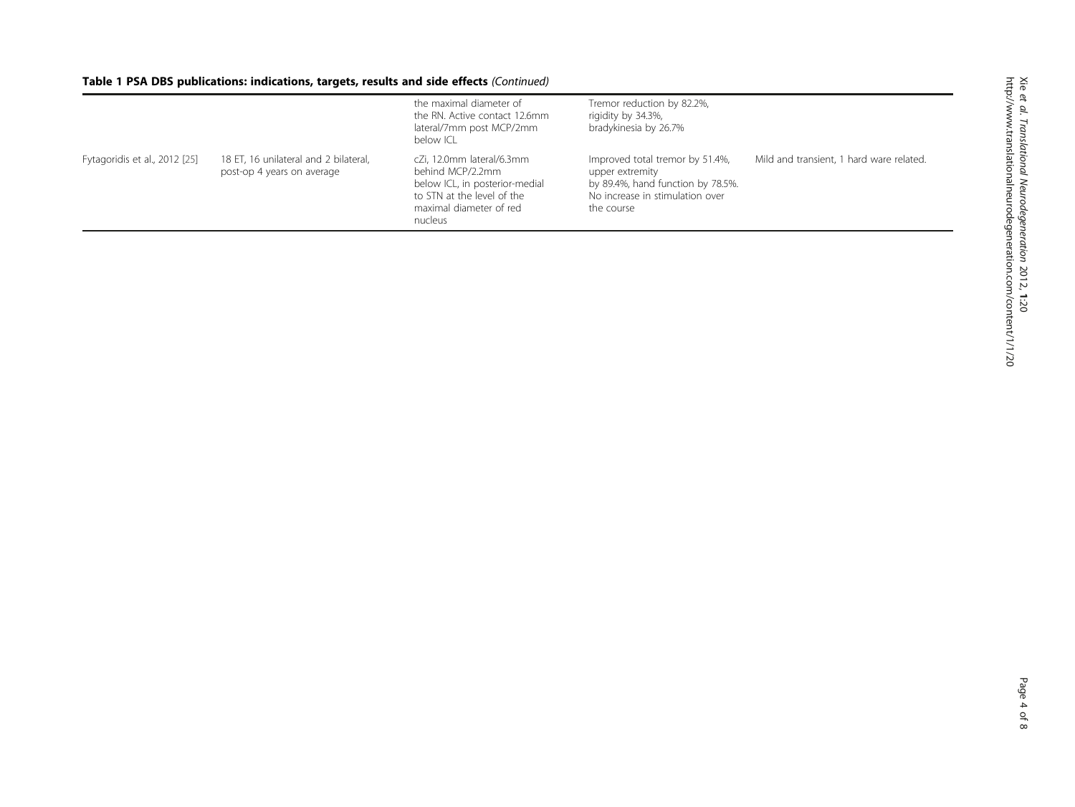# Table 1 PSA DBS publications: indications, targets, results and side effects (Continued)

|                               |                                                                     | the maximal diameter of<br>the RN. Active contact 12.6mm<br>lateral/7mm post MCP/2mm<br>below ICL                                                   | Tremor reduction by 82.2%,<br>rigidity by 34.3%,<br>bradykinesia by 26.7%                                                                |                                          |
|-------------------------------|---------------------------------------------------------------------|-----------------------------------------------------------------------------------------------------------------------------------------------------|------------------------------------------------------------------------------------------------------------------------------------------|------------------------------------------|
| Fytagoridis et al., 2012 [25] | 18 ET, 16 unilateral and 2 bilateral,<br>post-op 4 years on average | cZi, 12.0mm lateral/6.3mm<br>behind MCP/2.2mm<br>below ICL, in posterior-medial<br>to STN at the level of the<br>maximal diameter of red<br>nucleus | Improved total tremor by 51.4%,<br>upper extremity<br>by 89.4%, hand function by 78.5%.<br>No increase in stimulation over<br>the course | Mild and transient, 1 hard ware related. |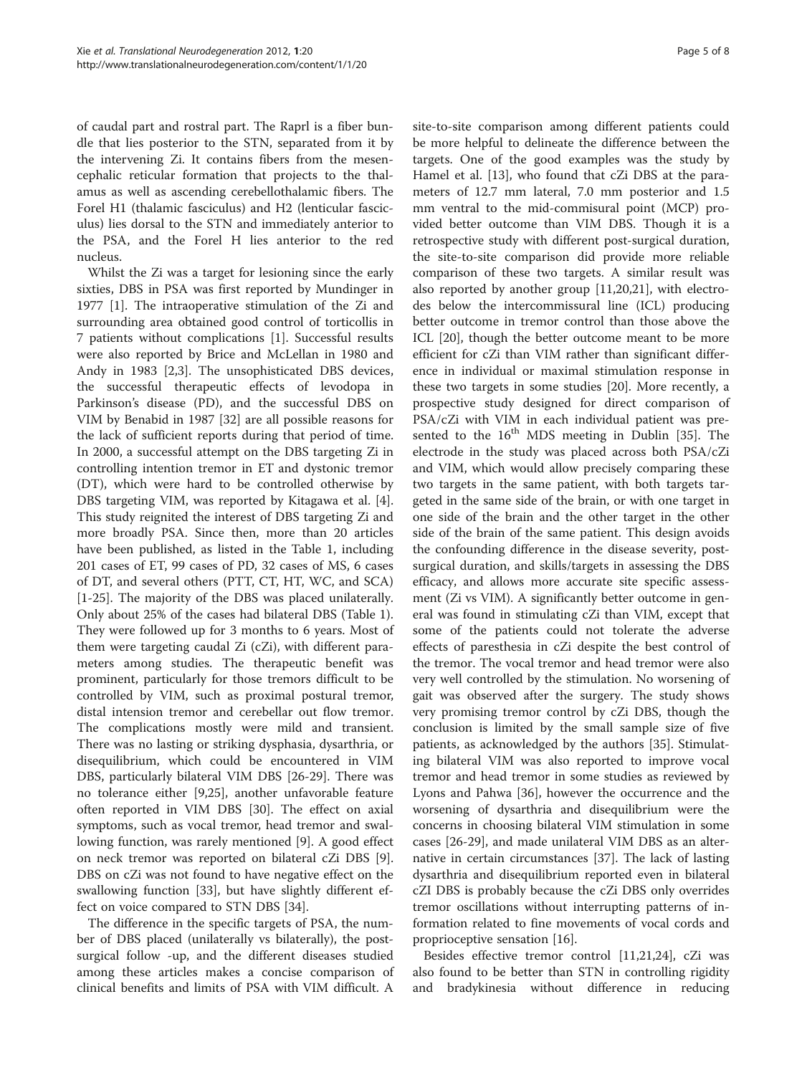of caudal part and rostral part. The Raprl is a fiber bundle that lies posterior to the STN, separated from it by the intervening Zi. It contains fibers from the mesencephalic reticular formation that projects to the thalamus as well as ascending cerebellothalamic fibers. The Forel H1 (thalamic fasciculus) and H2 (lenticular fasciculus) lies dorsal to the STN and immediately anterior to the PSA, and the Forel H lies anterior to the red nucleus.

Whilst the Zi was a target for lesioning since the early sixties, DBS in PSA was first reported by Mundinger in 1977 [\[1](#page-6-0)]. The intraoperative stimulation of the Zi and surrounding area obtained good control of torticollis in 7 patients without complications [[1\]](#page-6-0). Successful results were also reported by Brice and McLellan in 1980 and Andy in 1983 [\[2,3](#page-6-0)]. The unsophisticated DBS devices, the successful therapeutic effects of levodopa in Parkinson's disease (PD), and the successful DBS on VIM by Benabid in 1987 [[32\]](#page-6-0) are all possible reasons for the lack of sufficient reports during that period of time. In 2000, a successful attempt on the DBS targeting Zi in controlling intention tremor in ET and dystonic tremor (DT), which were hard to be controlled otherwise by DBS targeting VIM, was reported by Kitagawa et al. [\[4](#page-6-0)]. This study reignited the interest of DBS targeting Zi and more broadly PSA. Since then, more than 20 articles have been published, as listed in the Table [1](#page-1-0), including 201 cases of ET, 99 cases of PD, 32 cases of MS, 6 cases of DT, and several others (PTT, CT, HT, WC, and SCA) [[1-25](#page-6-0)]. The majority of the DBS was placed unilaterally. Only about 25% of the cases had bilateral DBS (Table [1](#page-1-0)). They were followed up for 3 months to 6 years. Most of them were targeting caudal Zi (cZi), with different parameters among studies. The therapeutic benefit was prominent, particularly for those tremors difficult to be controlled by VIM, such as proximal postural tremor, distal intension tremor and cerebellar out flow tremor. The complications mostly were mild and transient. There was no lasting or striking dysphasia, dysarthria, or disequilibrium, which could be encountered in VIM DBS, particularly bilateral VIM DBS [\[26-29](#page-6-0)]. There was no tolerance either [\[9,25](#page-6-0)], another unfavorable feature often reported in VIM DBS [[30\]](#page-6-0). The effect on axial symptoms, such as vocal tremor, head tremor and swallowing function, was rarely mentioned [\[9](#page-6-0)]. A good effect on neck tremor was reported on bilateral cZi DBS [\[9](#page-6-0)]. DBS on cZi was not found to have negative effect on the swallowing function [[33](#page-6-0)], but have slightly different effect on voice compared to STN DBS [[34\]](#page-6-0).

The difference in the specific targets of PSA, the number of DBS placed (unilaterally vs bilaterally), the postsurgical follow -up, and the different diseases studied among these articles makes a concise comparison of clinical benefits and limits of PSA with VIM difficult. A

site-to-site comparison among different patients could be more helpful to delineate the difference between the targets. One of the good examples was the study by Hamel et al. [\[13\]](#page-6-0), who found that cZi DBS at the parameters of 12.7 mm lateral, 7.0 mm posterior and 1.5 mm ventral to the mid-commisural point (MCP) provided better outcome than VIM DBS. Though it is a retrospective study with different post-surgical duration, the site-to-site comparison did provide more reliable comparison of these two targets. A similar result was also reported by another group [[11](#page-6-0),[20](#page-6-0),[21](#page-6-0)], with electrodes below the intercommissural line (ICL) producing better outcome in tremor control than those above the ICL [\[20\]](#page-6-0), though the better outcome meant to be more efficient for cZi than VIM rather than significant difference in individual or maximal stimulation response in these two targets in some studies [\[20\]](#page-6-0). More recently, a prospective study designed for direct comparison of PSA/cZi with VIM in each individual patient was presented to the  $16<sup>th</sup> MDS$  meeting in Dublin [\[35](#page-6-0)]. The electrode in the study was placed across both PSA/cZi and VIM, which would allow precisely comparing these two targets in the same patient, with both targets targeted in the same side of the brain, or with one target in one side of the brain and the other target in the other side of the brain of the same patient. This design avoids the confounding difference in the disease severity, postsurgical duration, and skills/targets in assessing the DBS efficacy, and allows more accurate site specific assessment (Zi vs VIM). A significantly better outcome in general was found in stimulating cZi than VIM, except that some of the patients could not tolerate the adverse effects of paresthesia in cZi despite the best control of the tremor. The vocal tremor and head tremor were also very well controlled by the stimulation. No worsening of gait was observed after the surgery. The study shows very promising tremor control by cZi DBS, though the conclusion is limited by the small sample size of five patients, as acknowledged by the authors [\[35](#page-6-0)]. Stimulating bilateral VIM was also reported to improve vocal tremor and head tremor in some studies as reviewed by Lyons and Pahwa [[36\]](#page-6-0), however the occurrence and the worsening of dysarthria and disequilibrium were the concerns in choosing bilateral VIM stimulation in some cases [[26-29](#page-6-0)], and made unilateral VIM DBS as an alternative in certain circumstances [\[37](#page-6-0)]. The lack of lasting dysarthria and disequilibrium reported even in bilateral cZI DBS is probably because the cZi DBS only overrides tremor oscillations without interrupting patterns of information related to fine movements of vocal cords and proprioceptive sensation [\[16\]](#page-6-0).

Besides effective tremor control [[11,21,24\]](#page-6-0), cZi was also found to be better than STN in controlling rigidity and bradykinesia without difference in reducing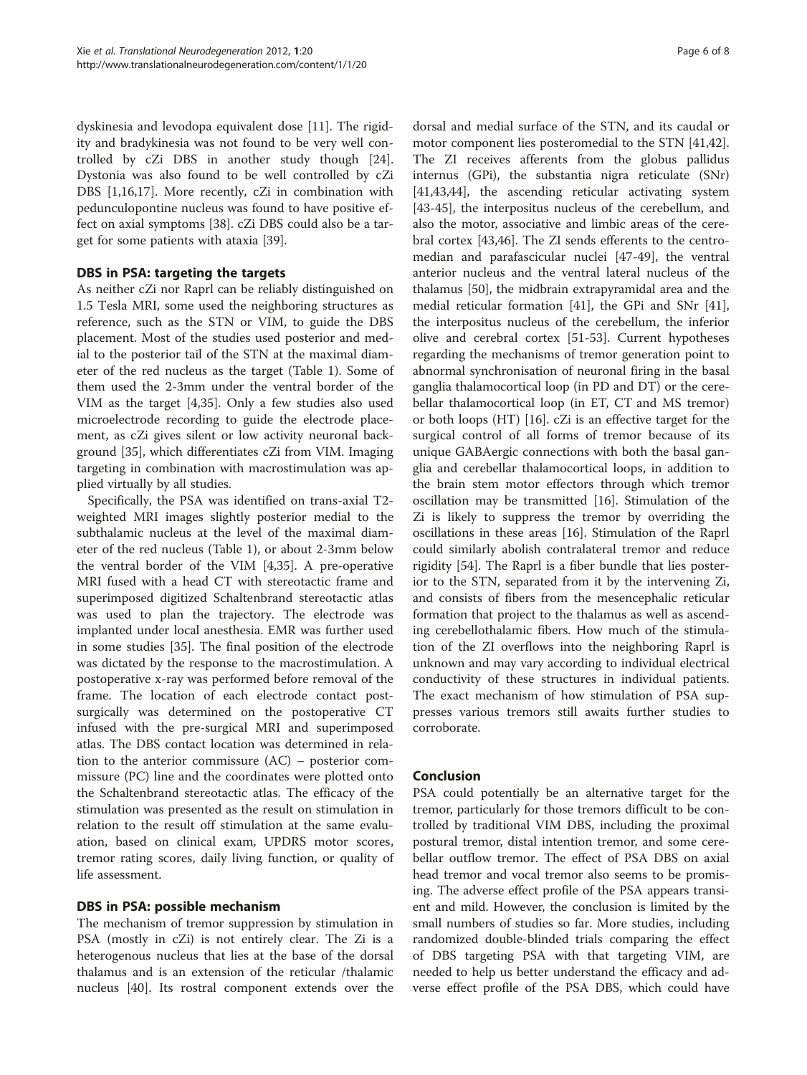dyskinesia and levodopa equivalent dose [\[11](#page-6-0)]. The rigidity and bradykinesia was not found to be very well controlled by cZi DBS in another study though [\[24](#page-6-0)]. Dystonia was also found to be well controlled by cZi DBS [\[1,16,17](#page-6-0)]. More recently, cZi in combination with pedunculopontine nucleus was found to have positive effect on axial symptoms [\[38](#page-6-0)]. cZi DBS could also be a target for some patients with ataxia [[39\]](#page-6-0).

## DBS in PSA: targeting the targets

As neither cZi nor Raprl can be reliably distinguished on 1.5 Tesla MRI, some used the neighboring structures as reference, such as the STN or VIM, to guide the DBS placement. Most of the studies used posterior and medial to the posterior tail of the STN at the maximal diameter of the red nucleus as the target (Table [1\)](#page-1-0). Some of them used the 2-3mm under the ventral border of the VIM as the target [[4,35\]](#page-6-0). Only a few studies also used microelectrode recording to guide the electrode placement, as cZi gives silent or low activity neuronal background [\[35](#page-6-0)], which differentiates cZi from VIM. Imaging targeting in combination with macrostimulation was applied virtually by all studies.

Specifically, the PSA was identified on trans-axial T2 weighted MRI images slightly posterior medial to the subthalamic nucleus at the level of the maximal diameter of the red nucleus (Table [1\)](#page-1-0), or about 2-3mm below the ventral border of the VIM [\[4,35](#page-6-0)]. A pre-operative MRI fused with a head CT with stereotactic frame and superimposed digitized Schaltenbrand stereotactic atlas was used to plan the trajectory. The electrode was implanted under local anesthesia. EMR was further used in some studies [\[35](#page-6-0)]. The final position of the electrode was dictated by the response to the macrostimulation. A postoperative x-ray was performed before removal of the frame. The location of each electrode contact postsurgically was determined on the postoperative CT infused with the pre-surgical MRI and superimposed atlas. The DBS contact location was determined in relation to the anterior commissure (AC) – posterior commissure (PC) line and the coordinates were plotted onto the Schaltenbrand stereotactic atlas. The efficacy of the stimulation was presented as the result on stimulation in relation to the result off stimulation at the same evaluation, based on clinical exam, UPDRS motor scores, tremor rating scores, daily living function, or quality of life assessment.

## DBS in PSA: possible mechanism

The mechanism of tremor suppression by stimulation in PSA (mostly in cZi) is not entirely clear. The Zi is a heterogenous nucleus that lies at the base of the dorsal thalamus and is an extension of the reticular /thalamic nucleus [[40\]](#page-7-0). Its rostral component extends over the

dorsal and medial surface of the STN, and its caudal or motor component lies posteromedial to the STN [\[41,42](#page-7-0)]. The ZI receives afferents from the globus pallidus internus (GPi), the substantia nigra reticulate (SNr) [[41,43,44\]](#page-7-0), the ascending reticular activating system [[43-45](#page-7-0)], the interpositus nucleus of the cerebellum, and also the motor, associative and limbic areas of the cerebral cortex [\[43,46](#page-7-0)]. The ZI sends efferents to the centromedian and parafascicular nuclei [\[47](#page-7-0)-[49](#page-7-0)], the ventral anterior nucleus and the ventral lateral nucleus of the thalamus [\[50](#page-7-0)], the midbrain extrapyramidal area and the medial reticular formation [\[41](#page-7-0)], the GPi and SNr [\[41](#page-7-0)], the interpositus nucleus of the cerebellum, the inferior olive and cerebral cortex [[51-53](#page-7-0)]. Current hypotheses regarding the mechanisms of tremor generation point to abnormal synchronisation of neuronal firing in the basal ganglia thalamocortical loop (in PD and DT) or the cerebellar thalamocortical loop (in ET, CT and MS tremor) or both loops (HT) [\[16](#page-6-0)]. cZi is an effective target for the surgical control of all forms of tremor because of its unique GABAergic connections with both the basal ganglia and cerebellar thalamocortical loops, in addition to the brain stem motor effectors through which tremor oscillation may be transmitted [\[16](#page-6-0)]. Stimulation of the Zi is likely to suppress the tremor by overriding the oscillations in these areas [\[16\]](#page-6-0). Stimulation of the Raprl could similarly abolish contralateral tremor and reduce rigidity [\[54\]](#page-7-0). The Raprl is a fiber bundle that lies posterior to the STN, separated from it by the intervening Zi, and consists of fibers from the mesencephalic reticular formation that project to the thalamus as well as ascending cerebellothalamic fibers. How much of the stimulation of the ZI overflows into the neighboring Raprl is unknown and may vary according to individual electrical conductivity of these structures in individual patients. The exact mechanism of how stimulation of PSA suppresses various tremors still awaits further studies to corroborate.

## Conclusion

PSA could potentially be an alternative target for the tremor, particularly for those tremors difficult to be controlled by traditional VIM DBS, including the proximal postural tremor, distal intention tremor, and some cerebellar outflow tremor. The effect of PSA DBS on axial head tremor and vocal tremor also seems to be promising. The adverse effect profile of the PSA appears transient and mild. However, the conclusion is limited by the small numbers of studies so far. More studies, including randomized double-blinded trials comparing the effect of DBS targeting PSA with that targeting VIM, are needed to help us better understand the efficacy and adverse effect profile of the PSA DBS, which could have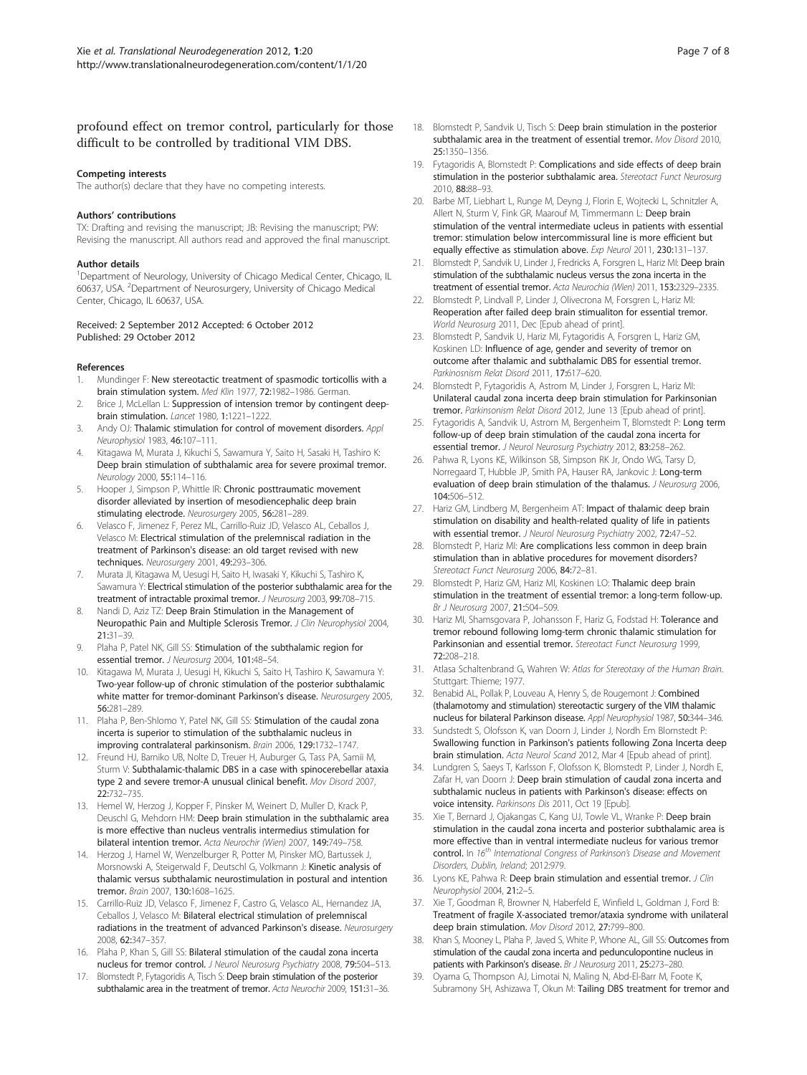#### <span id="page-6-0"></span>profound effect on tremor control, particularly for those difficult to be controlled by traditional VIM DBS.

#### Competing interests

The author(s) declare that they have no competing interests.

#### Authors' contributions

TX: Drafting and revising the manuscript; JB: Revising the manuscript; PW: Revising the manuscript. All authors read and approved the final manuscript.

#### Author details

<sup>1</sup>Department of Neurology, University of Chicago Medical Center, Chicago, IL 60637, USA. <sup>2</sup>Department of Neurosurgery, University of Chicago Medical Center, Chicago, IL 60637, USA.

#### Received: 2 September 2012 Accepted: 6 October 2012 Published: 29 October 2012

#### References

- 1. Mundinger F: New stereotactic treatment of spasmodic torticollis with a brain stimulation system. Med Klin 1977, 72:1982–1986. German.
- 2. Brice J, McLellan L: Suppression of intension tremor by contingent deepbrain stimulation. Lancet 1980, 1:1221–1222.
- 3. Andy OJ: Thalamic stimulation for control of movement disorders. Appl Neurophysiol 1983, 46:107–111.
- 4. Kitagawa M, Murata J, Kikuchi S, Sawamura Y, Saito H, Sasaki H, Tashiro K: Deep brain stimulation of subthalamic area for severe proximal tremor. Neurology 2000, 55:114–116.
- 5. Hooper J, Simpson P, Whittle IR: Chronic posttraumatic movement disorder alleviated by insertion of mesodiencephalic deep brain stimulating electrode. Neurosurgery 2005, 56:281–289.
- Velasco F, Jimenez F, Perez ML, Carrillo-Ruiz JD, Velasco AL, Ceballos J, Velasco M: Electrical stimulation of the prelemniscal radiation in the treatment of Parkinson's disease: an old target revised with new techniques. Neurosurgery 2001, 49:293–306.
- 7. Murata JI, Kitagawa M, Uesugi H, Saito H, Iwasaki Y, Kikuchi S, Tashiro K, Sawamura Y: Electrical stimulation of the posterior subthalamic area for the treatment of intractable proximal tremor. J Neurosurg 2003, 99:708–715.
- Nandi D, Aziz TZ: Deep Brain Stimulation in the Management of Neuropathic Pain and Multiple Sclerosis Tremor. J Clin Neurophysiol 2004, 21:31–39.
- 9. Plaha P, Patel NK, Gill SS: Stimulation of the subthalamic region for essential tremor. J Neurosurg 2004, 101:48–54.
- 10. Kitagawa M, Murata J, Uesugi H, Kikuchi S, Saito H, Tashiro K, Sawamura Y: Two-year follow-up of chronic stimulation of the posterior subthalamic white matter for tremor-dominant Parkinson's disease. Neurosurgery 2005, 56:281–289.
- 11. Plaha P, Ben-Shlomo Y, Patel NK, Gill SS: Stimulation of the caudal zona incerta is superior to stimulation of the subthalamic nucleus in improving contralateral parkinsonism. Brain 2006, 129:1732–1747.
- 12. Freund HJ, Barniko UB, Nolte D, Treuer H, Auburger G, Tass PA, Samii M, Sturm V: Subthalamic-thalamic DBS in a case with spinocerebellar ataxia type 2 and severe tremor-A unusual clinical benefit. Mov Disord 2007, 22:732–735.
- 13. Hemel W, Herzog J, Kopper F, Pinsker M, Weinert D, Muller D, Krack P, Deuschl G, Mehdorn HM: Deep brain stimulation in the subthalamic area is more effective than nucleus ventralis intermedius stimulation for bilateral intention tremor. Acta Neurochir (Wien) 2007, 149:749–758.
- 14. Herzog J, Hamel W, Wenzelburger R, Potter M, Pinsker MO, Bartussek J, Morsnowski A, Steigerwald F, Deutschl G, Volkmann J: Kinetic analysis of thalamic versus subthalamic neurostimulation in postural and intention tremor. Brain 2007, 130:1608–1625.
- 15. Carrillo-Ruiz JD, Velasco F, Jimenez F, Castro G, Velasco AL, Hernandez JA, Ceballos J, Velasco M: Bilateral electrical stimulation of prelemniscal radiations in the treatment of advanced Parkinson's disease. Neurosurgery 2008, 62:347–357.
- 16. Plaha P, Khan S, Gill SS: Bilateral stimulation of the caudal zona incerta nucleus for tremor control. J Neurol Neurosurg Psychiatry 2008, 79:504–513.
- 17. Blomstedt P, Fytagoridis A, Tisch S: Deep brain stimulation of the posterior subthalamic area in the treatment of tremor. Acta Neurochir 2009, 151:31-36.
- 18. Blomstedt P, Sandvik U, Tisch S: Deep brain stimulation in the posterior subthalamic area in the treatment of essential tremor. Mov Disord 2010, 25:1350–1356.
- 19. Fytagoridis A, Blomstedt P: Complications and side effects of deep brain stimulation in the posterior subthalamic area. Stereotact Funct Neurosurg 2010, 88:88–93.
- 20. Barbe MT, Liebhart L, Runge M, Deyng J, Florin E, Wojtecki L, Schnitzler A, Allert N, Sturm V, Fink GR, Maarouf M, Timmermann L: Deep brain stimulation of the ventral intermediate ucleus in patients with essential tremor: stimulation below intercommissural line is more efficient but equally effective as stimulation above. Exp Neurol 2011, 230:131-137
- 21. Blomstedt P, Sandvik U, Linder J, Fredricks A, Forsgren L, Hariz MI: Deep brain stimulation of the subthalamic nucleus versus the zona incerta in the treatment of essential tremor. Acta Neurochia (Wien) 2011, 153:2329–2335.
- 22. Blomstedt P, Lindvall P, Linder J, Olivecrona M, Forsgren L, Hariz MI: Reoperation after failed deep brain stimualiton for essential tremor. World Neurosurg 2011, Dec [Epub ahead of print].
- 23. Blomstedt P, Sandvik U, Hariz MI, Fytagoridis A, Forsgren L, Hariz GM, Koskinen LD: Influence of age, gender and severity of tremor on outcome after thalamic and subthalamic DBS for essential tremor. Parkinosnism Relat Disord 2011, 17:617–620.
- 24. Blomstedt P, Fytagoridis A, Astrom M, Linder J, Forsgren L, Hariz MI: Unilateral caudal zona incerta deep brain stimulation for Parkinsonian tremor. Parkinsonism Relat Disord 2012, June 13 [Epub ahead of print].
- 25. Fytagoridis A, Sandvik U, Astrom M, Bergenheim T, Blomstedt P: Long term follow-up of deep brain stimulation of the caudal zona incerta for essential tremor. J Neurol Neurosurg Psychiatry 2012, 83:258-262.
- 26. Pahwa R, Lyons KE, Wilkinson SB, Simpson RK Jr, Ondo WG, Tarsy D, Norregaard T, Hubble JP, Smith PA, Hauser RA, Jankovic J: Long-term evaluation of deep brain stimulation of the thalamus. J Neurosurg 2006, 104:506–512.
- 27. Hariz GM, Lindberg M, Bergenheim AT: Impact of thalamic deep brain stimulation on disability and health-related quality of life in patients with essential tremor. J Neurol Neurosurg Psychiatry 2002, 72:47-52.
- 28. Blomstedt P, Hariz MI: Are complications less common in deep brain stimulation than in ablative procedures for movement disorders? Stereotact Funct Neurosurg 2006, 84:72–81.
- 29. Blomstedt P, Hariz GM, Hariz MI, Koskinen LO: Thalamic deep brain stimulation in the treatment of essential tremor: a long-term follow-up. Br J Neurosurg 2007, 21:504–509.
- 30. Hariz MI, Shamsgovara P, Johansson F, Hariz G, Fodstad H: Tolerance and tremor rebound following lomg-term chronic thalamic stimulation for Parkinsonian and essential tremor. Stereotact Funct Neurosurg 1999, 72:208–218.
- 31. Atlasa Schaltenbrand G, Wahren W: Atlas for Stereotaxy of the Human Brain. Stuttgart: Thieme; 1977.
- 32. Benabid AL, Pollak P, Louveau A, Henry S, de Rougemont J: Combined (thalamotomy and stimulation) stereotactic surgery of the VIM thalamic nucleus for bilateral Parkinson disease. Appl Neurophysiol 1987, 50:344–346.
- Sundstedt S, Olofsson K, van Doorn J, Linder J, Nordh Em Blomstedt P: Swallowing function in Parkinson's patients following Zona Incerta deep brain stimulation. Acta Neurol Scand 2012, Mar 4 [Epub ahead of print].
- 34. Lundgren S, Saeys T, Karlsson F, Olofsson K, Blomstedt P, Linder J, Nordh E, Zafar H, van Doorn J: Deep brain stimulation of caudal zona incerta and subthalamic nucleus in patients with Parkinson's disease: effects on voice intensity. Parkinsons Dis 2011, Oct 19 [Epub].
- 35. Xie T, Bernard J, Ojakangas C, Kang UJ, Towle VL, Wranke P: Deep brain stimulation in the caudal zona incerta and posterior subthalamic area is more effective than in ventral intermediate nucleus for various tremor control. In 16<sup>th</sup> International Congress of Parkinson's Disease and Movement Disorders, Dublin, Ireland; 2012:979.
- 36. Lyons KE, Pahwa R: Deep brain stimulation and essential tremor. J Clin Neurophysiol 2004, 21:2–5.
- 37. Xie T, Goodman R, Browner N, Haberfeld E, Winfield L, Goldman J, Ford B: Treatment of fragile X-associated tremor/ataxia syndrome with unilateral deep brain stimulation. Mov Disord 2012, 27:799–800.
- 38. Khan S, Mooney L, Plaha P, Javed S, White P, Whone AL, Gill SS: Outcomes from stimulation of the caudal zona incerta and pedunculopontine nucleus in patients with Parkinson's disease. Br J Neurosurg 2011, 25:273–280.
- 39. Oyama G, Thompson AJ, Limotai N, Maling N, Abd-El-Barr M, Foote K, Subramony SH, Ashizawa T, Okun M: Tailing DBS treatment for tremor and